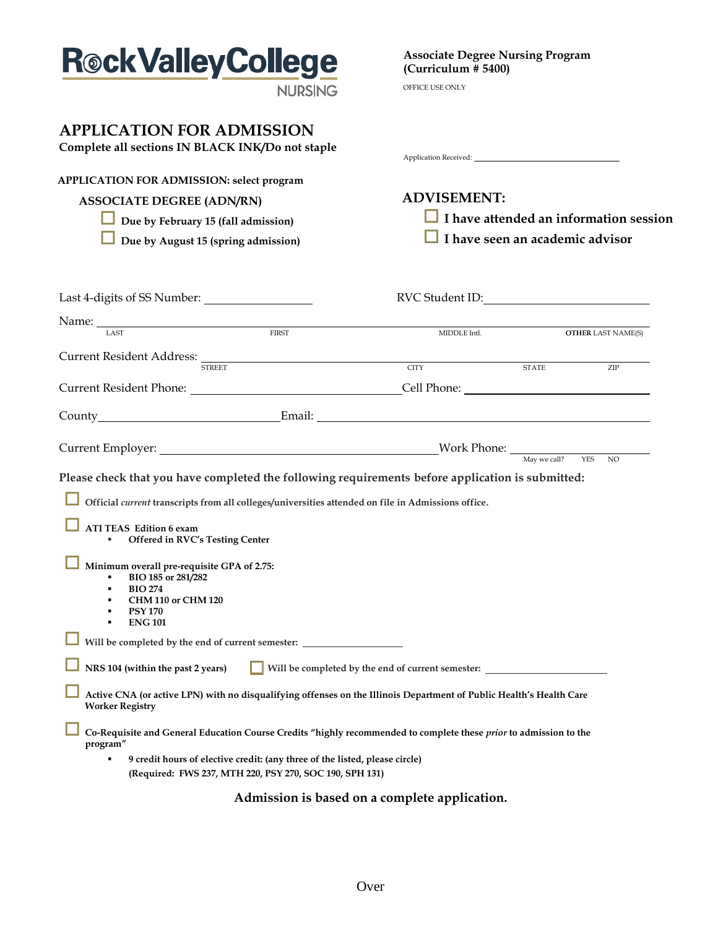| <b>Rock Valley College</b>                                                                                                                                                                                                                                              | <b>Associate Degree Nursing Program</b><br>(Curriculum # 5400)                                                                                                                                                                 |                                 |                           |  |
|-------------------------------------------------------------------------------------------------------------------------------------------------------------------------------------------------------------------------------------------------------------------------|--------------------------------------------------------------------------------------------------------------------------------------------------------------------------------------------------------------------------------|---------------------------------|---------------------------|--|
| <b>NURSING</b>                                                                                                                                                                                                                                                          | OFFICE USE ONLY                                                                                                                                                                                                                |                                 |                           |  |
| <b>APPLICATION FOR ADMISSION</b><br>Complete all sections IN BLACK INK/Do not staple                                                                                                                                                                                    | Application Received: National Contract of the Contract of the Contract of the Contract of the Contract of the Contract of the Contract of the Contract of the Contract of the Contract of the Contract of the Contract of the |                                 |                           |  |
| <b>APPLICATION FOR ADMISSION: select program</b>                                                                                                                                                                                                                        |                                                                                                                                                                                                                                |                                 |                           |  |
| <b>ASSOCIATE DEGREE (ADN/RN)</b>                                                                                                                                                                                                                                        | <b>ADVISEMENT:</b>                                                                                                                                                                                                             |                                 |                           |  |
| Due by February 15 (fall admission)                                                                                                                                                                                                                                     | $\Box$ I have attended an information session                                                                                                                                                                                  |                                 |                           |  |
| Due by August 15 (spring admission)                                                                                                                                                                                                                                     |                                                                                                                                                                                                                                | I have seen an academic advisor |                           |  |
|                                                                                                                                                                                                                                                                         |                                                                                                                                                                                                                                |                                 |                           |  |
| Name: LAST MIDDLE                                                                                                                                                                                                                                                       | MIDDLE Intl.                                                                                                                                                                                                                   |                                 | <b>OTHER LAST NAME(S)</b> |  |
| Current Resident Address: STREET                                                                                                                                                                                                                                        | CITY STATE                                                                                                                                                                                                                     |                                 |                           |  |
|                                                                                                                                                                                                                                                                         |                                                                                                                                                                                                                                |                                 | ZIP                       |  |
|                                                                                                                                                                                                                                                                         |                                                                                                                                                                                                                                |                                 |                           |  |
|                                                                                                                                                                                                                                                                         |                                                                                                                                                                                                                                |                                 |                           |  |
|                                                                                                                                                                                                                                                                         |                                                                                                                                                                                                                                |                                 |                           |  |
| Please check that you have completed the following requirements before application is submitted:                                                                                                                                                                        |                                                                                                                                                                                                                                |                                 |                           |  |
| Official current transcripts from all colleges/universities attended on file in Admissions office.                                                                                                                                                                      |                                                                                                                                                                                                                                |                                 |                           |  |
| <b>ATI TEAS Edition 6 exam</b><br>Offered in RVC's Testing Center                                                                                                                                                                                                       |                                                                                                                                                                                                                                |                                 |                           |  |
| Minimum overall pre-requisite GPA of 2.75:<br>BIO 185 or 281/282<br>٠<br><b>BIO 274</b><br><b>CHM 110 or CHM 120</b><br><b>PSY 170</b><br><b>ENG 101</b><br>٠                                                                                                           |                                                                                                                                                                                                                                |                                 |                           |  |
| Will be completed by the end of current semester: ______________________________                                                                                                                                                                                        |                                                                                                                                                                                                                                |                                 |                           |  |
| NRS 104 (within the past 2 years)                                                                                                                                                                                                                                       | Will be completed by the end of current semester: ______________________________                                                                                                                                               |                                 |                           |  |
| Active CNA (or active LPN) with no disqualifying offenses on the Illinois Department of Public Health's Health Care<br><b>Worker Registry</b>                                                                                                                           |                                                                                                                                                                                                                                |                                 |                           |  |
| Co-Requisite and General Education Course Credits "highly recommended to complete these prior to admission to the<br>program"<br>9 credit hours of elective credit: (any three of the listed, please circle)<br>(Required: FWS 237, MTH 220, PSY 270, SOC 190, SPH 131) |                                                                                                                                                                                                                                |                                 |                           |  |

## **Admission is based on a complete application.**